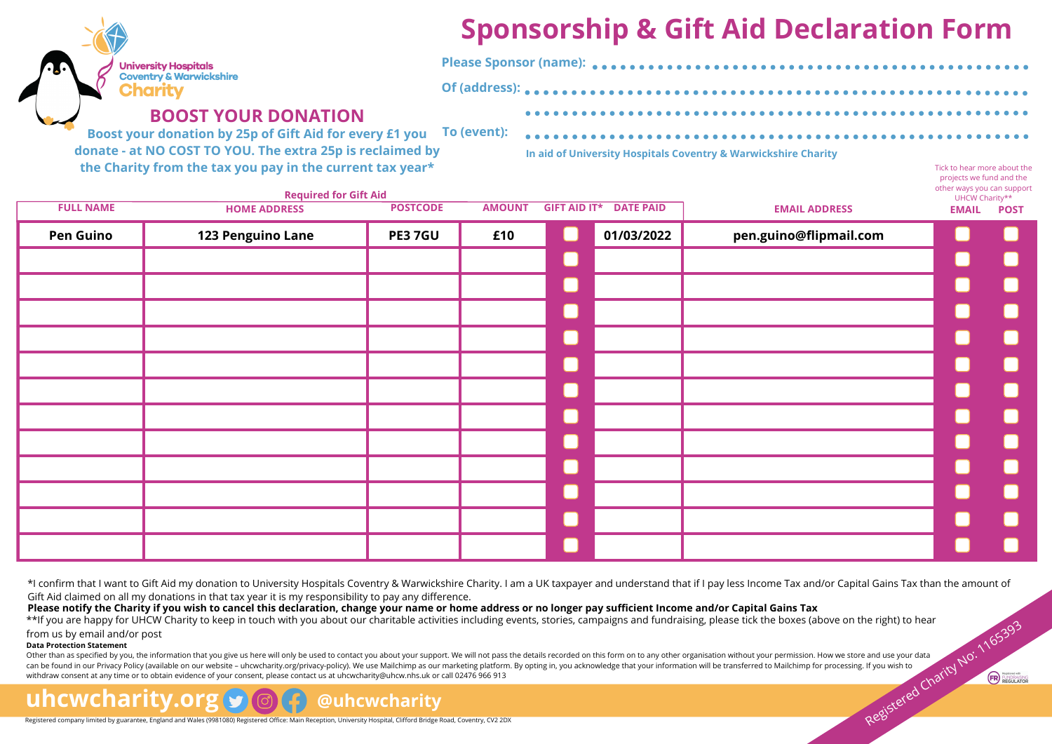# **Sponsorship & Gift Aid Declaration Form**

Tick to hear more about the projects we fund and the

| Ø | <b>University Hospitals</b>       |
|---|-----------------------------------|
|   | <b>Coventry &amp; Warwickshir</b> |
|   | <b>Engrit</b>                     |

## **BOOST YOUR DONATION**

**Boost your donation by 25p of Gift Aid for every £1 you donate - at NO COST TO YOU. The extra 25p is reclaimed by the Charity from the tax you pay in the current tax year\* To (event):**

**In aid of University Hospitals Coventry & Warwickshire Charity**

| other ways you can support<br>UHCW Charity** |                        | <b>Required for Gift Aid</b>  |                |               |                 |                     |                  |  |  |  |  |  |  |  |
|----------------------------------------------|------------------------|-------------------------------|----------------|---------------|-----------------|---------------------|------------------|--|--|--|--|--|--|--|
| <b>EMAIL</b><br><b>POST</b>                  | <b>EMAIL ADDRESS</b>   | <b>GIFT AID IT* DATE PAID</b> |                | <b>AMOUNT</b> | <b>POSTCODE</b> | <b>HOME ADDRESS</b> | <b>FULL NAME</b> |  |  |  |  |  |  |  |
|                                              | pen.guino@flipmail.com | 01/03/2022                    | $\Box$         | £10           | <b>PE37GU</b>   | 123 Penguino Lane   | <b>Pen Guino</b> |  |  |  |  |  |  |  |
| L.<br>b.                                     |                        |                               | L              |               |                 |                     |                  |  |  |  |  |  |  |  |
| L<br><b>College</b>                          |                        |                               | $\blacksquare$ |               |                 |                     |                  |  |  |  |  |  |  |  |
|                                              |                        |                               | $\Box$         |               |                 |                     |                  |  |  |  |  |  |  |  |
| i<br>List                                    |                        |                               | L              |               |                 |                     |                  |  |  |  |  |  |  |  |
| L<br>in.                                     |                        |                               | L              |               |                 |                     |                  |  |  |  |  |  |  |  |
| r.                                           |                        |                               | U              |               |                 |                     |                  |  |  |  |  |  |  |  |
| L.<br><b>College</b>                         |                        |                               | L              |               |                 |                     |                  |  |  |  |  |  |  |  |
|                                              |                        |                               | $\Box$         |               |                 |                     |                  |  |  |  |  |  |  |  |
|                                              |                        |                               | L              |               |                 |                     |                  |  |  |  |  |  |  |  |
|                                              |                        |                               | L              |               |                 |                     |                  |  |  |  |  |  |  |  |
|                                              |                        |                               | $\blacksquare$ |               |                 |                     |                  |  |  |  |  |  |  |  |
|                                              |                        |                               | L              |               |                 |                     |                  |  |  |  |  |  |  |  |
|                                              |                        |                               |                |               |                 |                     |                  |  |  |  |  |  |  |  |

**Of (address):**

\*I confirm that I want to Gift Aid my donation to University Hospitals Coventry & Warwickshire Charity. I am a UK taxpayer and understand that if I pay less Income Tax and/or Capital Gains Tax than the amount of Gift Aid claimed on all my donations in that tax year it is my responsibility to pay any difference.

**Please notify the Charity if you wish to cancel this declaration, change your name or home address or no longer pay sufficient Income and/or Capital Gains Tax**

\*\*If you are happy for UHCW Charity to keep in touch with you about our charitable activities including events, stories, campaigns and fundraising, please tick the boxes (above on the right) to hear

### from us by email and/or post

**Data Protection Statement**

Other than as specified by you, the information that you give us here will only be used to contact you about your support. We will not pass the details recorded on this form on to any other organisation without your permis can be found in our Privacy Policy (available on our website – uhcwcharity.org/privacy-policy). We use Mailchimp as our marketing platform. By opting in, you acknowledge that your information will be transferred to Mailchi withdraw consent at any time or to obtain evidence of your consent, please contact us at [uhcwcharity@uhcw.nhs.uk](mailto:uhcwcharity@uhcw.nhs.uk) or call 02476 966 913 Registered company limited by guarantee, England and Wales (988108) Registered Charity Registered Charity Registered Charity Registered Charity Registered Charity Registered Charity Registered Charity Registered Charity Re